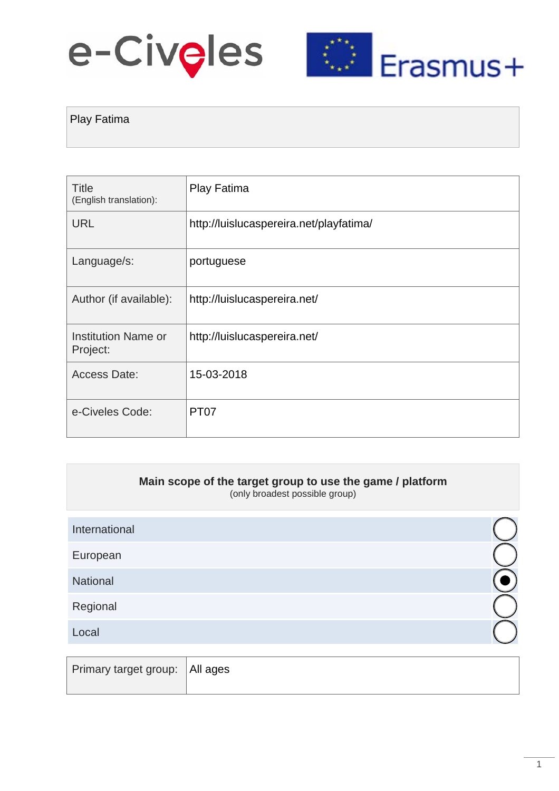# e-Civeles



## Play Fatima

| Title<br>(English translation): | Play Fatima                             |
|---------------------------------|-----------------------------------------|
| <b>URL</b>                      | http://luislucaspereira.net/playfatima/ |
| Language/s:                     | portuguese                              |
| Author (if available):          | http://luislucaspereira.net/            |
| Institution Name or<br>Project: | http://luislucaspereira.net/            |
| <b>Access Date:</b>             | 15-03-2018                              |
| e-Civeles Code:                 | <b>PT07</b>                             |

| Main scope of the target group to use the game / platform<br>(only broadest possible group) |               |
|---------------------------------------------------------------------------------------------|---------------|
|                                                                                             |               |
|                                                                                             |               |
|                                                                                             |               |
|                                                                                             |               |
|                                                                                             |               |
|                                                                                             | International |

| Primary target group: All ages |  |
|--------------------------------|--|
|                                |  |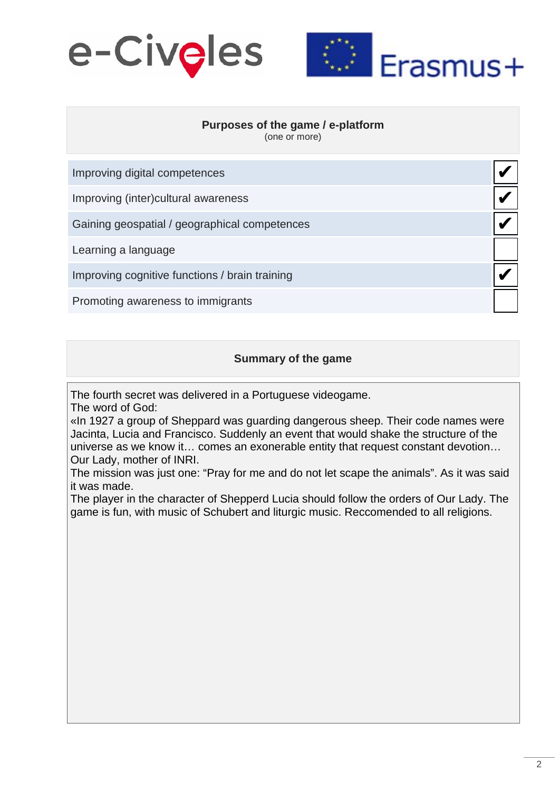



✔

✔

✔

✔

#### **Purposes of the game / e-platform**

(one or more)

| Improving digital competences        |  |
|--------------------------------------|--|
| Improving (inter) cultural awareness |  |

Gaining geospatial / geographical competences

Learning a language

Improving cognitive functions / brain training

Promoting awareness to immigrants

#### **Summary of the game**

The fourth secret was delivered in a Portuguese videogame.

The word of God:

«In 1927 a group of Sheppard was guarding dangerous sheep. Their code names were Jacinta, Lucia and Francisco. Suddenly an event that would shake the structure of the universe as we know it… comes an exonerable entity that request constant devotion… Our Lady, mother of INRI.

The mission was just one: "Pray for me and do not let scape the animals". As it was said it was made.

The player in the character of Shepperd Lucia should follow the orders of Our Lady. The game is fun, with music of Schubert and liturgic music. Reccomended to all religions.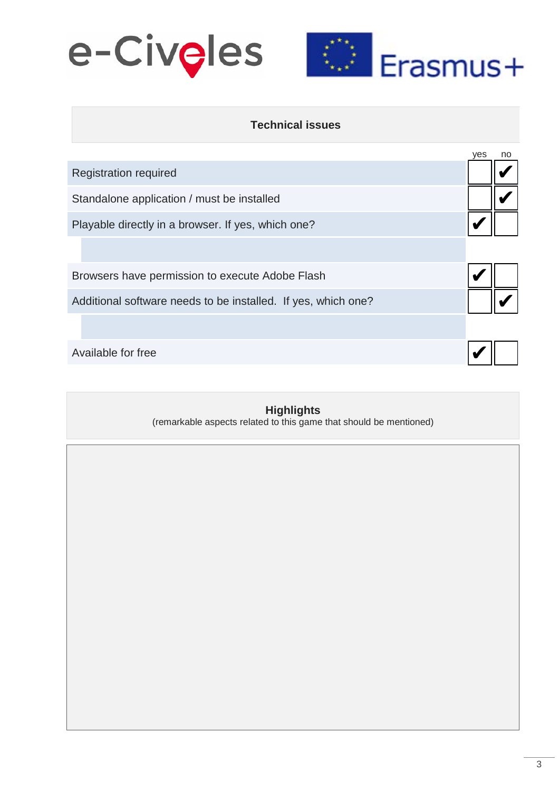



### **Technical issues**

|                                                               | yes | no |
|---------------------------------------------------------------|-----|----|
| <b>Registration required</b>                                  |     |    |
| Standalone application / must be installed                    |     |    |
| Playable directly in a browser. If yes, which one?            |     |    |
|                                                               |     |    |
| Browsers have permission to execute Adobe Flash               |     |    |
| Additional software needs to be installed. If yes, which one? |     |    |
|                                                               |     |    |
| Available for free                                            |     |    |

## **Highlights**

(remarkable aspects related to this game that should be mentioned)